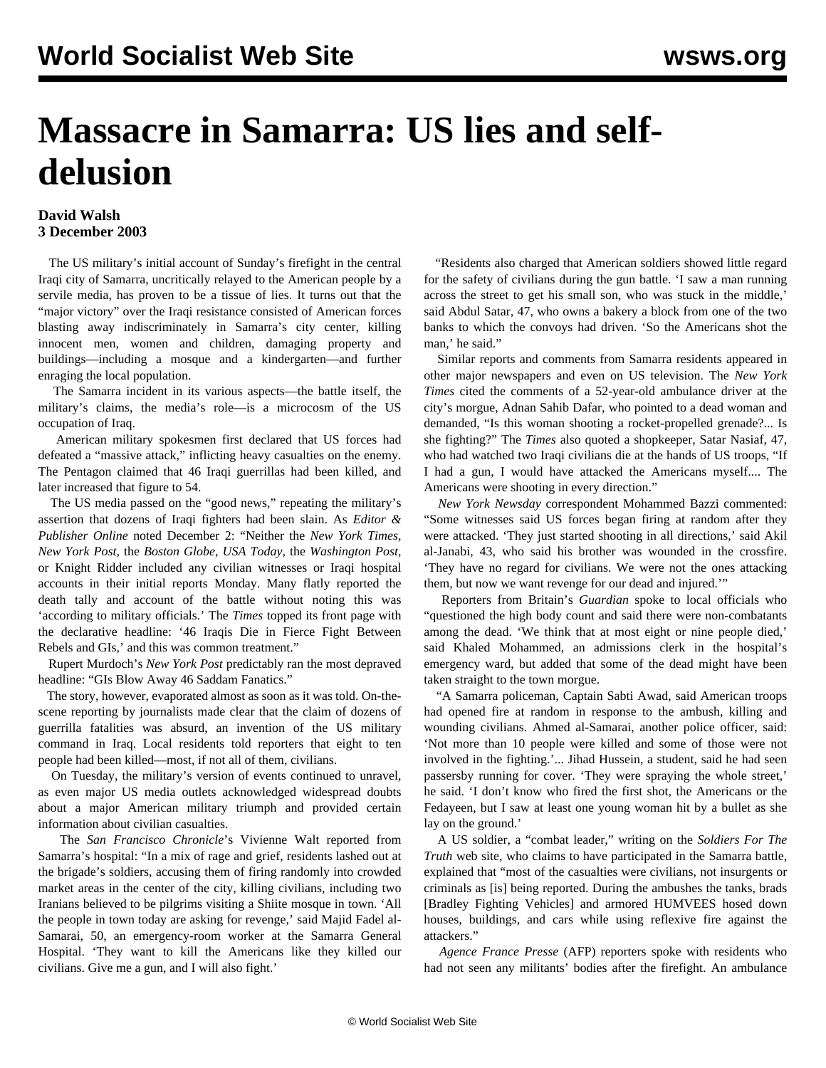## **Massacre in Samarra: US lies and selfdelusion**

## **David Walsh 3 December 2003**

 The US military's initial account of Sunday's firefight in the central Iraqi city of Samarra, uncritically relayed to the American people by a servile media, has proven to be a tissue of lies. It turns out that the "major victory" over the Iraqi resistance consisted of American forces blasting away indiscriminately in Samarra's city center, killing innocent men, women and children, damaging property and buildings—including a mosque and a kindergarten—and further enraging the local population.

 The Samarra incident in its various aspects—the battle itself, the military's claims, the media's role—is a microcosm of the US occupation of Iraq.

 American military spokesmen first declared that US forces had defeated a "massive attack," inflicting heavy casualties on the enemy. The Pentagon claimed that 46 Iraqi guerrillas had been killed, and later increased that figure to 54.

 The US media passed on the "good news," repeating the military's assertion that dozens of Iraqi fighters had been slain. As *Editor & Publisher Online* noted December 2: "Neither the *New York Times, New York Post,* the *Boston Globe, USA Today,* the *Washington Post,* or Knight Ridder included any civilian witnesses or Iraqi hospital accounts in their initial reports Monday. Many flatly reported the death tally and account of the battle without noting this was 'according to military officials.' The *Times* topped its front page with the declarative headline: '46 Iraqis Die in Fierce Fight Between Rebels and GIs,' and this was common treatment."

 Rupert Murdoch's *New York Post* predictably ran the most depraved headline: "GIs Blow Away 46 Saddam Fanatics."

 The story, however, evaporated almost as soon as it was told. On-thescene reporting by journalists made clear that the claim of dozens of guerrilla fatalities was absurd, an invention of the US military command in Iraq. Local residents told reporters that eight to ten people had been killed—most, if not all of them, civilians.

 On Tuesday, the military's version of events continued to unravel, as even major US media outlets acknowledged widespread doubts about a major American military triumph and provided certain information about civilian casualties.

 The *San Francisco Chronicle*'s Vivienne Walt reported from Samarra's hospital: "In a mix of rage and grief, residents lashed out at the brigade's soldiers, accusing them of firing randomly into crowded market areas in the center of the city, killing civilians, including two Iranians believed to be pilgrims visiting a Shiite mosque in town. 'All the people in town today are asking for revenge,' said Majid Fadel al-Samarai, 50, an emergency-room worker at the Samarra General Hospital. 'They want to kill the Americans like they killed our civilians. Give me a gun, and I will also fight.'

 "Residents also charged that American soldiers showed little regard for the safety of civilians during the gun battle. 'I saw a man running across the street to get his small son, who was stuck in the middle,' said Abdul Satar, 47, who owns a bakery a block from one of the two banks to which the convoys had driven. 'So the Americans shot the man,' he said."

 Similar reports and comments from Samarra residents appeared in other major newspapers and even on US television. The *New York Times* cited the comments of a 52-year-old ambulance driver at the city's morgue, Adnan Sahib Dafar, who pointed to a dead woman and demanded, "Is this woman shooting a rocket-propelled grenade?... Is she fighting?" The *Times* also quoted a shopkeeper, Satar Nasiaf, 47, who had watched two Iraqi civilians die at the hands of US troops, "If I had a gun, I would have attacked the Americans myself.... The Americans were shooting in every direction."

 *New York Newsday* correspondent Mohammed Bazzi commented: "Some witnesses said US forces began firing at random after they were attacked. 'They just started shooting in all directions,' said Akil al-Janabi, 43, who said his brother was wounded in the crossfire. 'They have no regard for civilians. We were not the ones attacking them, but now we want revenge for our dead and injured.'"

 Reporters from Britain's *Guardian* spoke to local officials who "questioned the high body count and said there were non-combatants among the dead. 'We think that at most eight or nine people died,' said Khaled Mohammed, an admissions clerk in the hospital's emergency ward, but added that some of the dead might have been taken straight to the town morgue.

 "A Samarra policeman, Captain Sabti Awad, said American troops had opened fire at random in response to the ambush, killing and wounding civilians. Ahmed al-Samarai, another police officer, said: 'Not more than 10 people were killed and some of those were not involved in the fighting.'... Jihad Hussein, a student, said he had seen passersby running for cover. 'They were spraying the whole street,' he said. 'I don't know who fired the first shot, the Americans or the Fedayeen, but I saw at least one young woman hit by a bullet as she lay on the ground.'

 A US soldier, a "combat leader," writing on the *Soldiers For The Truth* web site, who claims to have participated in the Samarra battle, explained that "most of the casualties were civilians, not insurgents or criminals as [is] being reported. During the ambushes the tanks, brads [Bradley Fighting Vehicles] and armored HUMVEES hosed down houses, buildings, and cars while using reflexive fire against the attackers."

 *Agence France Presse* (AFP) reporters spoke with residents who had not seen any militants' bodies after the firefight. An ambulance